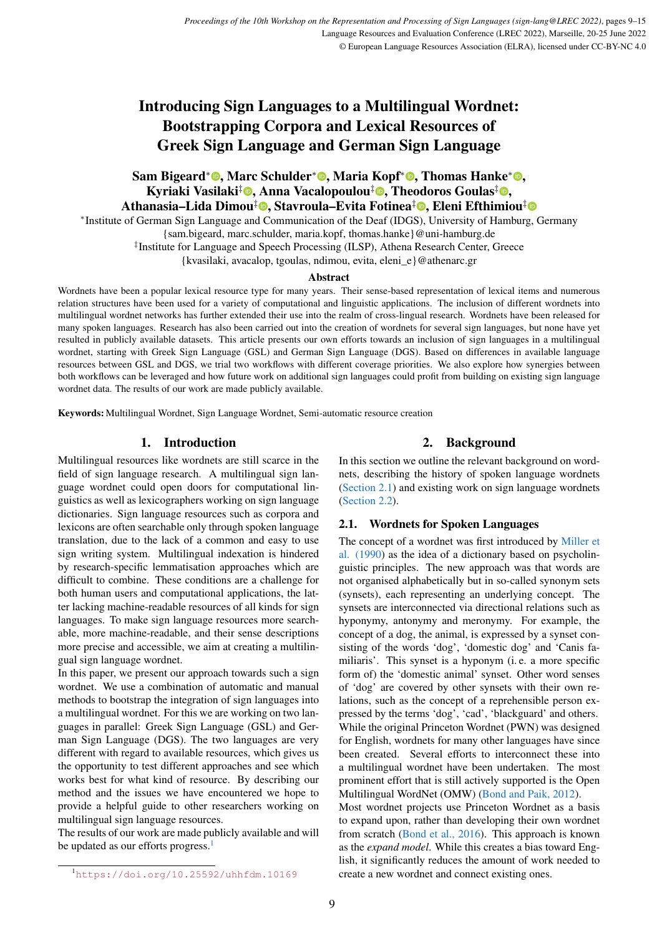# Introducing Sign Languages to a Multilingual Wordnet: Bootstrapping Corpora and Lexical Resources of Greek Sign Language and German Sign Language

# Sam Bigeard\*©[,](https://orcid.org/0000-0001-7356-8973) Marc Schulder\*©, Maria Kopf\*©, Thomas Hanke\*©, Kyriaki Vasilaki<sup>‡</sup>©[,](https://orcid.org/0000-0002-0677-9671) Anna Vacalopoulou<sup>‡</sup>©, Theodoros Goulas<sup>‡</sup>©, Athanasia–Lida Dimou‡©[,](https://orcid.org/0000-0002-2301-0602) Stavroula–Evita Fotinea[‡](https://orcid.org/0000-0003-4253-5612)©, Eleni Efthimiou‡

∗ Institute of German Sign Language and Communication of the Deaf (IDGS), University of Hamburg, Germany

{sam.bigeard, marc.schulder, maria.kopf, thomas.hanke}@uni-hamburg.de

‡ Institute for Language and Speech Processing (ILSP), Athena Research Center, Greece

{kvasilaki, avacalop, tgoulas, ndimou, evita, eleni\_e}@athenarc.gr

#### Abstract

Wordnets have been a popular lexical resource type for many years. Their sense-based representation of lexical items and numerous relation structures have been used for a variety of computational and linguistic applications. The inclusion of different wordnets into multilingual wordnet networks has further extended their use into the realm of cross-lingual research. Wordnets have been released for many spoken languages. Research has also been carried out into the creation of wordnets for several sign languages, but none have yet resulted in publicly available datasets. This article presents our own efforts towards an inclusion of sign languages in a multilingual wordnet, starting with Greek Sign Language (GSL) and German Sign Language (DGS). Based on differences in available language resources between GSL and DGS, we trial two workflows with different coverage priorities. We also explore how synergies between both workflows can be leveraged and how future work on additional sign languages could profit from building on existing sign language wordnet data. The results of our work are made publicly available.

Keywords: Multilingual Wordnet, Sign Language Wordnet, Semi-automatic resource creation

# 1. Introduction

Multilingual resources like wordnets are still scarce in the field of sign language research. A multilingual sign language wordnet could open doors for computational linguistics as well as lexicographers working on sign language dictionaries. Sign language resources such as corpora and lexicons are often searchable only through spoken language translation, due to the lack of a common and easy to use sign writing system. Multilingual indexation is hindered by research-specific lemmatisation approaches which are difficult to combine. These conditions are a challenge for both human users and computational applications, the latter lacking machine-readable resources of all kinds for sign languages. To make sign language resources more searchable, more machine-readable, and their sense descriptions more precise and accessible, we aim at creating a multilingual sign language wordnet.

In this paper, we present our approach towards such a sign wordnet. We use a combination of automatic and manual methods to bootstrap the integration of sign languages into a multilingual wordnet. For this we are working on two languages in parallel: Greek Sign Language (GSL) and German Sign Language (DGS). The two languages are very different with regard to available resources, which gives us the opportunity to test different approaches and see which works best for what kind of resource. By describing our method and the issues we have encountered we hope to provide a helpful guide to other researchers working on multilingual sign language resources.

The results of our work are made publicly available and will be updated as our efforts progress.<sup>[1](#page-0-0)</sup>

In this section we outline the relevant background on wordnets, describing the history of spoken language wordnets [\(Section 2.1\)](#page-0-1) and existing work on sign language wordnets [\(Section 2.2\)](#page-1-0).

# <span id="page-0-1"></span>2.1. Wordnets for Spoken Languages

The concept of a wordnet was first introduced by [Miller et](#page-5-0) [al. \(1990\)](#page-5-0) as the idea of a dictionary based on psycholinguistic principles. The new approach was that words are not organised alphabetically but in so-called synonym sets (synsets), each representing an underlying concept. The synsets are interconnected via directional relations such as hyponymy, antonymy and meronymy. For example, the concept of a dog, the animal, is expressed by a synset consisting of the words 'dog', 'domestic dog' and 'Canis familiaris'. This synset is a hyponym (i. e. a more specific form of) the 'domestic animal' synset. Other word senses of 'dog' are covered by other synsets with their own relations, such as the concept of a reprehensible person expressed by the terms 'dog', 'cad', 'blackguard' and others. While the original Princeton Wordnet (PWN) was designed for English, wordnets for many other languages have since been created. Several efforts to interconnect these into a multilingual wordnet have been undertaken. The most prominent effort that is still actively supported is the Open Multilingual WordNet (OMW) [\(Bond and Paik, 2012\)](#page-5-1).

Most wordnet projects use Princeton Wordnet as a basis to expand upon, rather than developing their own wordnet from scratch [\(Bond et al., 2016\)](#page-5-2). This approach is known as the *expand model*. While this creates a bias toward English, it significantly reduces the amount of work needed to create a new wordnet and connect existing ones.

<sup>2.</sup> Background

<span id="page-0-0"></span><sup>1</sup><https://doi.org/10.25592/uhhfdm.10169>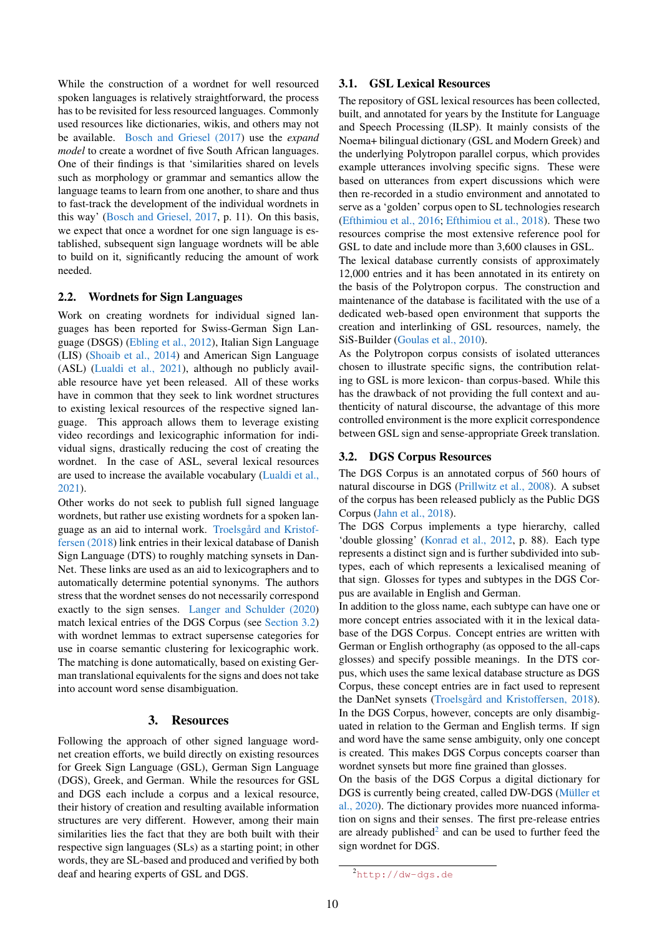While the construction of a wordnet for well resourced spoken languages is relatively straightforward, the process has to be revisited for less resourced languages. Commonly used resources like dictionaries, wikis, and others may not be available. [Bosch and Griesel \(2017\)](#page-5-3) use the *expand model* to create a wordnet of five South African languages. One of their findings is that 'similarities shared on levels such as morphology or grammar and semantics allow the language teams to learn from one another, to share and thus to fast-track the development of the individual wordnets in this way' [\(Bosch and Griesel, 2017,](#page-5-3) p. 11). On this basis, we expect that once a wordnet for one sign language is established, subsequent sign language wordnets will be able to build on it, significantly reducing the amount of work needed.

# <span id="page-1-0"></span>2.2. Wordnets for Sign Languages

Work on creating wordnets for individual signed languages has been reported for Swiss-German Sign Language (DSGS) [\(Ebling et al., 2012\)](#page-5-4), Italian Sign Language (LIS) [\(Shoaib et al., 2014\)](#page-6-0) and American Sign Language (ASL) [\(Lualdi et al., 2021\)](#page-5-5), although no publicly available resource have yet been released. All of these works have in common that they seek to link wordnet structures to existing lexical resources of the respective signed language. This approach allows them to leverage existing video recordings and lexicographic information for individual signs, drastically reducing the cost of creating the wordnet. In the case of ASL, several lexical resources are used to increase the available vocabulary [\(Lualdi et al.,](#page-5-5) [2021\)](#page-5-5).

Other works do not seek to publish full signed language wordnets, but rather use existing wordnets for a spoken language as an aid to internal work. [Troelsgård and Kristof](#page-6-1)[fersen \(2018\)](#page-6-1) link entries in their lexical database of Danish Sign Language (DTS) to roughly matching synsets in Dan-Net. These links are used as an aid to lexicographers and to automatically determine potential synonyms. The authors stress that the wordnet senses do not necessarily correspond exactly to the sign senses. [Langer and Schulder \(2020\)](#page-5-6) match lexical entries of the DGS Corpus (see [Section 3.2\)](#page-1-1) with wordnet lemmas to extract supersense categories for use in coarse semantic clustering for lexicographic work. The matching is done automatically, based on existing German translational equivalents for the signs and does not take into account word sense disambiguation.

#### 3. Resources

<span id="page-1-3"></span>Following the approach of other signed language wordnet creation efforts, we build directly on existing resources for Greek Sign Language (GSL), German Sign Language (DGS), Greek, and German. While the resources for GSL and DGS each include a corpus and a lexical resource, their history of creation and resulting available information structures are very different. However, among their main similarities lies the fact that they are both built with their respective sign languages (SLs) as a starting point; in other words, they are SL-based and produced and verified by both deaf and hearing experts of GSL and DGS.

# 3.1. GSL Lexical Resources

The repository of GSL lexical resources has been collected, built, and annotated for years by the Institute for Language and Speech Processing (ILSP). It mainly consists of the Noema+ bilingual dictionary (GSL and Modern Greek) and the underlying Polytropon parallel corpus, which provides example utterances involving specific signs. These were based on utterances from expert discussions which were then re-recorded in a studio environment and annotated to serve as a 'golden' corpus open to SL technologies research [\(Efthimiou et al., 2016;](#page-5-7) [Efthimiou et al., 2018\)](#page-5-8). These two resources comprise the most extensive reference pool for GSL to date and include more than 3,600 clauses in GSL.

The lexical database currently consists of approximately 12,000 entries and it has been annotated in its entirety on the basis of the Polytropon corpus. The construction and maintenance of the database is facilitated with the use of a dedicated web-based open environment that supports the creation and interlinking of GSL resources, namely, the SiS-Builder [\(Goulas et al., 2010\)](#page-5-9).

As the Polytropon corpus consists of isolated utterances chosen to illustrate specific signs, the contribution relating to GSL is more lexicon- than corpus-based. While this has the drawback of not providing the full context and authenticity of natural discourse, the advantage of this more controlled environment is the more explicit correspondence between GSL sign and sense-appropriate Greek translation.

#### <span id="page-1-1"></span>3.2. DGS Corpus Resources

The DGS Corpus is an annotated corpus of 560 hours of natural discourse in DGS [\(Prillwitz et al., 2008\)](#page-6-2). A subset of the corpus has been released publicly as the Public DGS Corpus [\(Jahn et al., 2018\)](#page-5-10).

The DGS Corpus implements a type hierarchy, called 'double glossing' [\(Konrad et al., 2012,](#page-5-11) p. 88). Each type represents a distinct sign and is further subdivided into subtypes, each of which represents a lexicalised meaning of that sign. Glosses for types and subtypes in the DGS Corpus are available in English and German.

In addition to the gloss name, each subtype can have one or more concept entries associated with it in the lexical database of the DGS Corpus. Concept entries are written with German or English orthography (as opposed to the all-caps glosses) and specify possible meanings. In the DTS corpus, which uses the same lexical database structure as DGS Corpus, these concept entries are in fact used to represent the DanNet synsets [\(Troelsgård and Kristoffersen, 2018\)](#page-6-1). In the DGS Corpus, however, concepts are only disambiguated in relation to the German and English terms. If sign and word have the same sense ambiguity, only one concept is created. This makes DGS Corpus concepts coarser than wordnet synsets but more fine grained than glosses.

On the basis of the DGS Corpus a digital dictionary for DGS is currently being created, called DW-DGS [\(Müller et](#page-5-12) [al., 2020\)](#page-5-12). The dictionary provides more nuanced information on signs and their senses. The first pre-release entries are already published<sup>[2](#page-1-2)</sup> and can be used to further feed the sign wordnet for DGS.

<span id="page-1-2"></span> $^{2}$ http://dw-dqs.de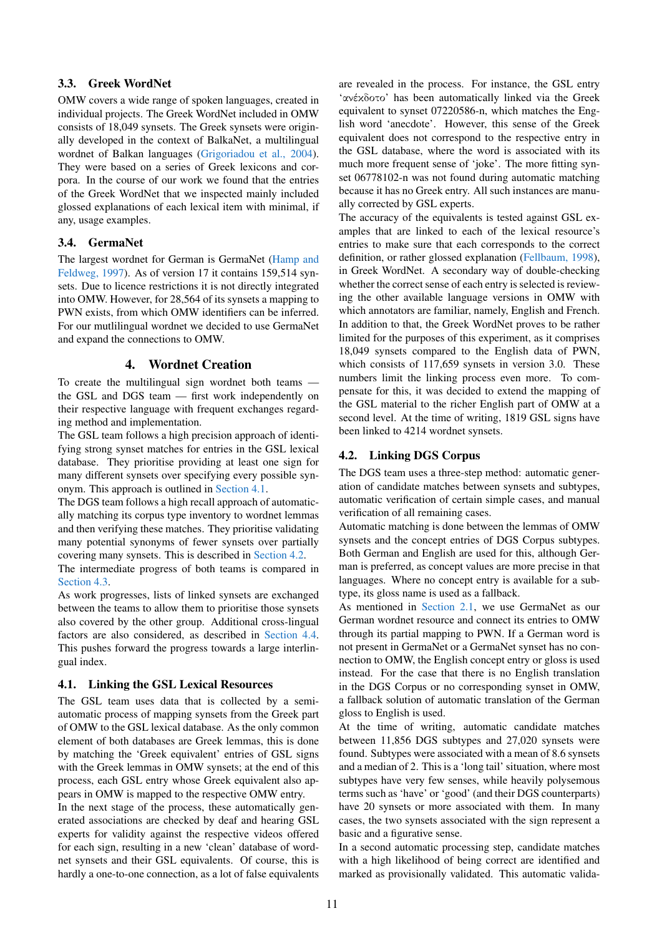# 3.3. Greek WordNet

OMW covers a wide range of spoken languages, created in individual projects. The Greek WordNet included in OMW consists of 18,049 synsets. The Greek synsets were originally developed in the context of BalkaNet, a multilingual wordnet of Balkan languages [\(Grigoriadou et al., 2004\)](#page-5-13). They were based on a series of Greek lexicons and corpora. In the course of our work we found that the entries of the Greek WordNet that we inspected mainly included glossed explanations of each lexical item with minimal, if any, usage examples.

#### 3.4. GermaNet

The largest wordnet for German is GermaNet [\(Hamp and](#page-5-14) [Feldweg, 1997\)](#page-5-14). As of version 17 it contains 159,514 synsets. Due to licence restrictions it is not directly integrated into OMW. However, for 28,564 of its synsets a mapping to PWN exists, from which OMW identifiers can be inferred. For our mutlilingual wordnet we decided to use GermaNet and expand the connections to OMW.

#### 4. Wordnet Creation

To create the multilingual sign wordnet both teams the GSL and DGS team — first work independently on their respective language with frequent exchanges regarding method and implementation.

The GSL team follows a high precision approach of identifying strong synset matches for entries in the GSL lexical database. They prioritise providing at least one sign for many different synsets over specifying every possible synonym. This approach is outlined in [Section 4.1.](#page-2-0)

The DGS team follows a high recall approach of automatically matching its corpus type inventory to wordnet lemmas and then verifying these matches. They prioritise validating many potential synonyms of fewer synsets over partially covering many synsets. This is described in [Section 4.2.](#page-2-1)

The intermediate progress of both teams is compared in [Section 4.3.](#page-3-0)

As work progresses, lists of linked synsets are exchanged between the teams to allow them to prioritise those synsets also covered by the other group. Additional cross-lingual factors are also considered, as described in [Section 4.4.](#page-4-0) This pushes forward the progress towards a large interlingual index.

# <span id="page-2-0"></span>4.1. Linking the GSL Lexical Resources

The GSL team uses data that is collected by a semiautomatic process of mapping synsets from the Greek part of OMW to the GSL lexical database. As the only common element of both databases are Greek lemmas, this is done by matching the 'Greek equivalent' entries of GSL signs with the Greek lemmas in OMW synsets; at the end of this process, each GSL entry whose Greek equivalent also appears in OMW is mapped to the respective OMW entry.

In the next stage of the process, these automatically generated associations are checked by deaf and hearing GSL experts for validity against the respective videos offered for each sign, resulting in a new 'clean' database of wordnet synsets and their GSL equivalents. Of course, this is hardly a one-to-one connection, as a lot of false equivalents

are revealed in the process. For instance, the GSL entry 'ανέκδοτο' has been automatically linked via the Greek equivalent to synset 07220586-n, which matches the English word 'anecdote'. However, this sense of the Greek equivalent does not correspond to the respective entry in the GSL database, where the word is associated with its much more frequent sense of 'joke'. The more fitting synset 06778102-n was not found during automatic matching because it has no Greek entry. All such instances are manually corrected by GSL experts.

The accuracy of the equivalents is tested against GSL examples that are linked to each of the lexical resource's entries to make sure that each corresponds to the correct definition, or rather glossed explanation [\(Fellbaum, 1998\)](#page-5-15), in Greek WordNet. A secondary way of double-checking whether the correct sense of each entry is selected is reviewing the other available language versions in OMW with which annotators are familiar, namely, English and French. In addition to that, the Greek WordNet proves to be rather limited for the purposes of this experiment, as it comprises 18,049 synsets compared to the English data of PWN, which consists of 117,659 synsets in version 3.0. These numbers limit the linking process even more. To compensate for this, it was decided to extend the mapping of the GSL material to the richer English part of OMW at a second level. At the time of writing, 1819 GSL signs have been linked to 4214 wordnet synsets.

# <span id="page-2-1"></span>4.2. Linking DGS Corpus

The DGS team uses a three-step method: automatic generation of candidate matches between synsets and subtypes, automatic verification of certain simple cases, and manual verification of all remaining cases.

Automatic matching is done between the lemmas of OMW synsets and the concept entries of DGS Corpus subtypes. Both German and English are used for this, although German is preferred, as concept values are more precise in that languages. Where no concept entry is available for a subtype, its gloss name is used as a fallback.

As mentioned in [Section 2.1,](#page-0-1) we use GermaNet as our German wordnet resource and connect its entries to OMW through its partial mapping to PWN. If a German word is not present in GermaNet or a GermaNet synset has no connection to OMW, the English concept entry or gloss is used instead. For the case that there is no English translation in the DGS Corpus or no corresponding synset in OMW, a fallback solution of automatic translation of the German gloss to English is used.

At the time of writing, automatic candidate matches between 11,856 DGS subtypes and 27,020 synsets were found. Subtypes were associated with a mean of 8.6 synsets and a median of 2. This is a 'long tail' situation, where most subtypes have very few senses, while heavily polysemous terms such as 'have' or 'good' (and their DGS counterparts) have 20 synsets or more associated with them. In many cases, the two synsets associated with the sign represent a basic and a figurative sense.

In a second automatic processing step, candidate matches with a high likelihood of being correct are identified and marked as provisionally validated. This automatic valida-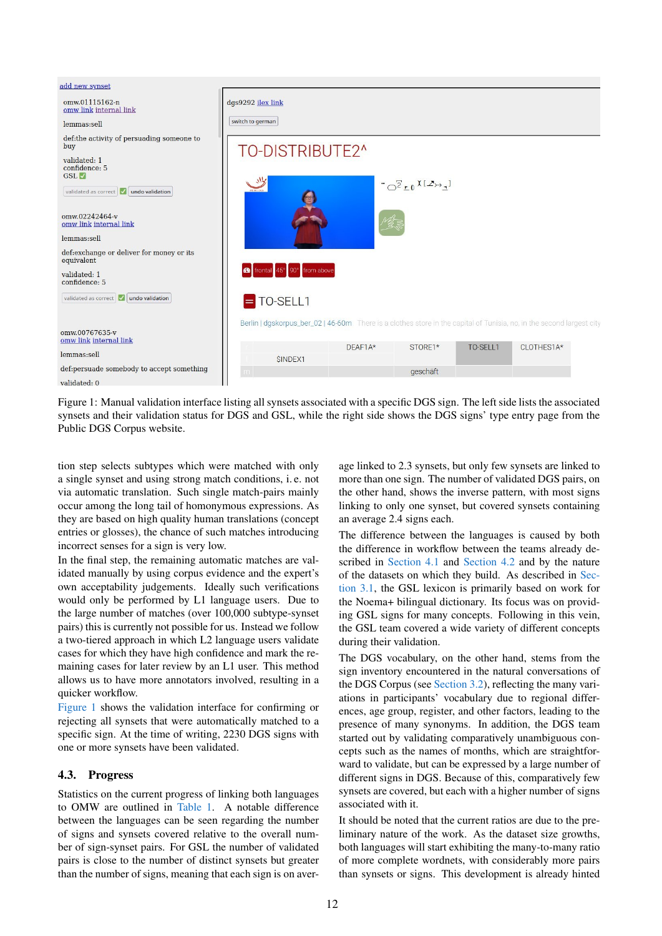<span id="page-3-1"></span>

Figure 1: Manual validation interface listing all synsets associated with a specific DGS sign. The left side lists the associated synsets and their validation status for DGS and GSL, while the right side shows the DGS signs' type entry page from the Public DGS Corpus website.

tion step selects subtypes which were matched with only a single synset and using strong match conditions, i. e. not via automatic translation. Such single match-pairs mainly occur among the long tail of homonymous expressions. As they are based on high quality human translations (concept entries or glosses), the chance of such matches introducing incorrect senses for a sign is very low.

In the final step, the remaining automatic matches are validated manually by using corpus evidence and the expert's own acceptability judgements. Ideally such verifications would only be performed by L1 language users. Due to the large number of matches (over 100,000 subtype-synset pairs) this is currently not possible for us. Instead we follow a two-tiered approach in which L2 language users validate cases for which they have high confidence and mark the remaining cases for later review by an L1 user. This method allows us to have more annotators involved, resulting in a quicker workflow.

[Figure 1](#page-3-1) shows the validation interface for confirming or rejecting all synsets that were automatically matched to a specific sign. At the time of writing, 2230 DGS signs with one or more synsets have been validated.

# <span id="page-3-0"></span>4.3. Progress

Statistics on the current progress of linking both languages to OMW are outlined in [Table 1.](#page-4-1) A notable difference between the languages can be seen regarding the number of signs and synsets covered relative to the overall number of sign-synset pairs. For GSL the number of validated pairs is close to the number of distinct synsets but greater than the number of signs, meaning that each sign is on average linked to 2.3 synsets, but only few synsets are linked to more than one sign. The number of validated DGS pairs, on the other hand, shows the inverse pattern, with most signs linking to only one synset, but covered synsets containing an average 2.4 signs each.

The difference between the languages is caused by both the difference in workflow between the teams already described in [Section 4.1](#page-2-0) and [Section 4.2](#page-2-1) and by the nature of the datasets on which they build. As described in [Sec](#page-1-3)[tion 3.1,](#page-1-3) the GSL lexicon is primarily based on work for the Noema+ bilingual dictionary. Its focus was on providing GSL signs for many concepts. Following in this vein, the GSL team covered a wide variety of different concepts during their validation.

The DGS vocabulary, on the other hand, stems from the sign inventory encountered in the natural conversations of the DGS Corpus (see [Section 3.2\)](#page-1-1), reflecting the many variations in participants' vocabulary due to regional differences, age group, register, and other factors, leading to the presence of many synonyms. In addition, the DGS team started out by validating comparatively unambiguous concepts such as the names of months, which are straightforward to validate, but can be expressed by a large number of different signs in DGS. Because of this, comparatively few synsets are covered, but each with a higher number of signs associated with it.

It should be noted that the current ratios are due to the preliminary nature of the work. As the dataset size growths, both languages will start exhibiting the many-to-many ratio of more complete wordnets, with considerably more pairs than synsets or signs. This development is already hinted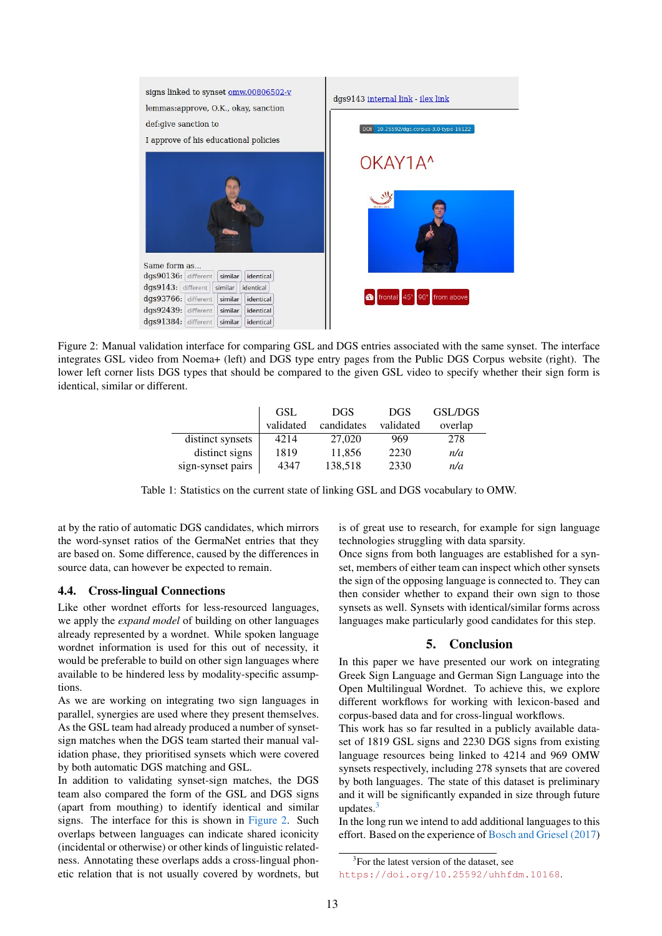<span id="page-4-2"></span>

Figure 2: Manual validation interface for comparing GSL and DGS entries associated with the same synset. The interface integrates GSL video from Noema+ (left) and DGS type entry pages from the Public DGS Corpus website (right). The lower left corner lists DGS types that should be compared to the given GSL video to specify whether their sign form is identical, similar or different.

<span id="page-4-1"></span>

|                   | <b>GSL</b> | DGS        | <b>DGS</b> | <b>GSL/DGS</b> |
|-------------------|------------|------------|------------|----------------|
|                   | validated  | candidates | validated  | overlap        |
| distinct synsets  | 4214       | 27,020     | 969        | 278            |
| distinct signs    | 1819       | 11,856     | 2230       | n/a            |
| sign-synset pairs | 4347       | 138,518    | 2330       | n/a            |

Table 1: Statistics on the current state of linking GSL and DGS vocabulary to OMW.

at by the ratio of automatic DGS candidates, which mirrors the word-synset ratios of the GermaNet entries that they are based on. Some difference, caused by the differences in source data, can however be expected to remain.

# <span id="page-4-0"></span>4.4. Cross-lingual Connections

Like other wordnet efforts for less-resourced languages, we apply the *expand model* of building on other languages already represented by a wordnet. While spoken language wordnet information is used for this out of necessity, it would be preferable to build on other sign languages where available to be hindered less by modality-specific assumptions.

As we are working on integrating two sign languages in parallel, synergies are used where they present themselves. As the GSL team had already produced a number of synsetsign matches when the DGS team started their manual validation phase, they prioritised synsets which were covered by both automatic DGS matching and GSL.

In addition to validating synset-sign matches, the DGS team also compared the form of the GSL and DGS signs (apart from mouthing) to identify identical and similar signs. The interface for this is shown in [Figure 2.](#page-4-2) Such overlaps between languages can indicate shared iconicity (incidental or otherwise) or other kinds of linguistic relatedness. Annotating these overlaps adds a cross-lingual phonetic relation that is not usually covered by wordnets, but is of great use to research, for example for sign language technologies struggling with data sparsity.

Once signs from both languages are established for a synset, members of either team can inspect which other synsets the sign of the opposing language is connected to. They can then consider whether to expand their own sign to those synsets as well. Synsets with identical/similar forms across languages make particularly good candidates for this step.

#### 5. Conclusion

In this paper we have presented our work on integrating Greek Sign Language and German Sign Language into the Open Multilingual Wordnet. To achieve this, we explore different workflows for working with lexicon-based and corpus-based data and for cross-lingual workflows.

This work has so far resulted in a publicly available dataset of 1819 GSL signs and 2230 DGS signs from existing language resources being linked to 4214 and 969 OMW synsets respectively, including 278 synsets that are covered by both languages. The state of this dataset is preliminary and it will be significantly expanded in size through future updates. $3$ 

In the long run we intend to add additional languages to this effort. Based on the experience of [Bosch and Griesel \(2017\)](#page-5-3)

<span id="page-4-3"></span><sup>&</sup>lt;sup>3</sup>For the latest version of the dataset, see

<https://doi.org/10.25592/uhhfdm.10168>.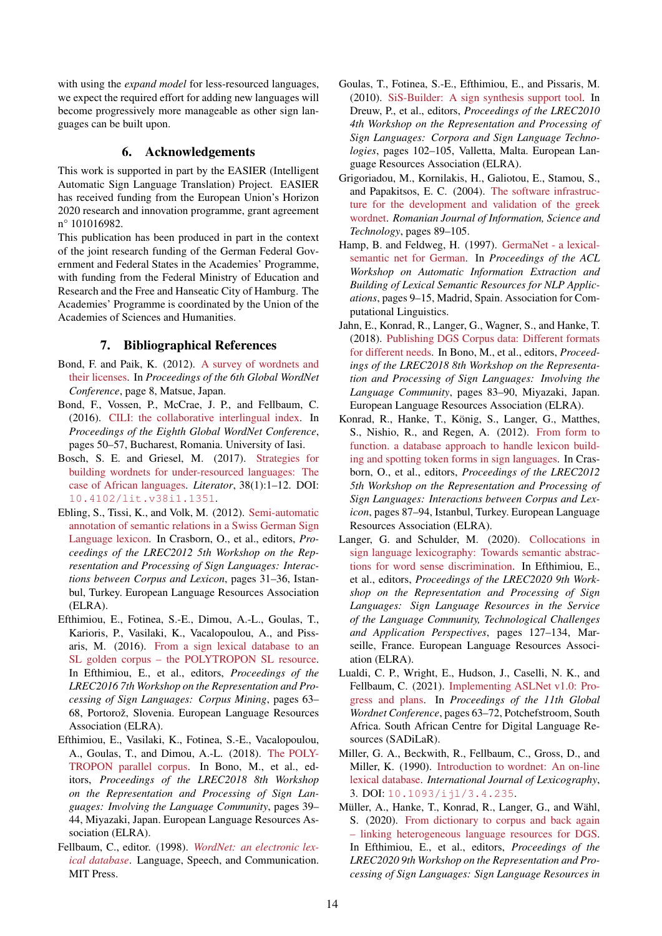with using the *expand model* for less-resourced languages, we expect the required effort for adding new languages will become progressively more manageable as other sign languages can be built upon.

# 6. Acknowledgements

This work is supported in part by the EASIER (Intelligent Automatic Sign Language Translation) Project. EASIER has received funding from the European Union's Horizon 2020 research and innovation programme, grant agreement n° 101016982.

This publication has been produced in part in the context of the joint research funding of the German Federal Government and Federal States in the Academies' Programme, with funding from the Federal Ministry of Education and Research and the Free and Hanseatic City of Hamburg. The Academies' Programme is coordinated by the Union of the Academies of Sciences and Humanities.

#### 7. Bibliographical References

- <span id="page-5-1"></span>Bond, F. and Paik, K. (2012). [A survey of wordnets and](https://bond-lab.github.io/pdf/2012-gwc-wn-license.pdf) [their licenses.](https://bond-lab.github.io/pdf/2012-gwc-wn-license.pdf) In *Proceedings of the 6th Global WordNet Conference*, page 8, Matsue, Japan.
- <span id="page-5-2"></span>Bond, F., Vossen, P., McCrae, J. P., and Fellbaum, C. (2016). [CILI: the collaborative interlingual index.](https://aclanthology.org/2016.gwc-1.9) In *Proceedings of the Eighth Global WordNet Conference*, pages 50–57, Bucharest, Romania. University of Iasi.
- <span id="page-5-3"></span>Bosch, S. E. and Griesel, M. (2017). [Strategies for](https://doi.org/10.4102/lit.v38i1.1351) [building wordnets for under-resourced languages: The](https://doi.org/10.4102/lit.v38i1.1351) [case of African languages.](https://doi.org/10.4102/lit.v38i1.1351) *Literator*, 38(1):1–12. DOI: [10.4102/lit.v38i1.1351](https://doi.org/10.4102/lit.v38i1.1351).
- <span id="page-5-4"></span>Ebling, S., Tissi, K., and Volk, M. (2012). [Semi-automatic](https://www.sign-lang.uni-hamburg.de/lrec/pub/12010.html) [annotation of semantic relations in a Swiss German Sign](https://www.sign-lang.uni-hamburg.de/lrec/pub/12010.html) [Language lexicon.](https://www.sign-lang.uni-hamburg.de/lrec/pub/12010.html) In Crasborn, O., et al., editors, *Proceedings of the LREC2012 5th Workshop on the Representation and Processing of Sign Languages: Interactions between Corpus and Lexicon*, pages 31–36, Istanbul, Turkey. European Language Resources Association (ELRA).
- <span id="page-5-7"></span>Efthimiou, E., Fotinea, S.-E., Dimou, A.-L., Goulas, T., Karioris, P., Vasilaki, K., Vacalopoulou, A., and Pissaris, M. (2016). [From a sign lexical database to an](https://www.sign-lang.uni-hamburg.de/lrec/pub/16003.html) [SL golden corpus – the POLYTROPON SL resource.](https://www.sign-lang.uni-hamburg.de/lrec/pub/16003.html) In Efthimiou, E., et al., editors, *Proceedings of the LREC2016 7th Workshop on the Representation and Processing of Sign Languages: Corpus Mining*, pages 63– 68, Portorož, Slovenia. European Language Resources Association (ELRA).
- <span id="page-5-8"></span>Efthimiou, E., Vasilaki, K., Fotinea, S.-E., Vacalopoulou, A., Goulas, T., and Dimou, A.-L. (2018). [The POLY-](https://www.sign-lang.uni-hamburg.de/lrec/pub/18043.html)[TROPON parallel corpus.](https://www.sign-lang.uni-hamburg.de/lrec/pub/18043.html) In Bono, M., et al., editors, *Proceedings of the LREC2018 8th Workshop on the Representation and Processing of Sign Languages: Involving the Language Community*, pages 39– 44, Miyazaki, Japan. European Language Resources Association (ELRA).
- <span id="page-5-15"></span>Fellbaum, C., editor. (1998). *[WordNet: an electronic lex](https://mitpress.mit.edu/books/wordnet)[ical database](https://mitpress.mit.edu/books/wordnet)*. Language, Speech, and Communication. MIT Press.
- <span id="page-5-9"></span>Goulas, T., Fotinea, S.-E., Efthimiou, E., and Pissaris, M. (2010). [SiS-Builder: A sign synthesis support tool.](https://www.sign-lang.uni-hamburg.de/lrec/pub/10008.html) In Dreuw, P., et al., editors, *Proceedings of the LREC2010 4th Workshop on the Representation and Processing of Sign Languages: Corpora and Sign Language Technologies*, pages 102–105, Valletta, Malta. European Language Resources Association (ELRA).
- <span id="page-5-13"></span>Grigoriadou, M., Kornilakis, H., Galiotou, E., Stamou, S., and Papakitsos, E. C. (2004). [The software infrastruc](http://cgi.di.uoa.gr/~harryk/papers/RJIST.pdf)[ture for the development and validation of the greek](http://cgi.di.uoa.gr/~harryk/papers/RJIST.pdf) [wordnet.](http://cgi.di.uoa.gr/~harryk/papers/RJIST.pdf) *Romanian Journal of Information, Science and Technology*, pages 89–105.
- <span id="page-5-14"></span>Hamp, B. and Feldweg, H. (1997). [GermaNet - a lexical](https://aclanthology.org/W97-0802/)[semantic net for German.](https://aclanthology.org/W97-0802/) In *Proceedings of the ACL Workshop on Automatic Information Extraction and Building of Lexical Semantic Resources for NLP Applications*, pages 9–15, Madrid, Spain. Association for Computational Linguistics.
- <span id="page-5-10"></span>Jahn, E., Konrad, R., Langer, G., Wagner, S., and Hanke, T. (2018). [Publishing DGS Corpus data: Different formats](https://www.sign-lang.uni-hamburg.de/lrec/pub/18018.html) [for different needs.](https://www.sign-lang.uni-hamburg.de/lrec/pub/18018.html) In Bono, M., et al., editors, *Proceedings of the LREC2018 8th Workshop on the Representation and Processing of Sign Languages: Involving the Language Community*, pages 83–90, Miyazaki, Japan. European Language Resources Association (ELRA).
- <span id="page-5-11"></span>Konrad, R., Hanke, T., König, S., Langer, G., Matthes, S., Nishio, R., and Regen, A. (2012). [From form to](https://www.sign-lang.uni-hamburg.de/lrec/pub/12023.html) [function. a database approach to handle lexicon build](https://www.sign-lang.uni-hamburg.de/lrec/pub/12023.html)[ing and spotting token forms in sign languages.](https://www.sign-lang.uni-hamburg.de/lrec/pub/12023.html) In Crasborn, O., et al., editors, *Proceedings of the LREC2012 5th Workshop on the Representation and Processing of Sign Languages: Interactions between Corpus and Lexicon*, pages 87–94, Istanbul, Turkey. European Language Resources Association (ELRA).
- <span id="page-5-6"></span>Langer, G. and Schulder, M. (2020). [Collocations in](https://www.sign-lang.uni-hamburg.de/lrec/pub/20017.html) [sign language lexicography: Towards semantic abstrac](https://www.sign-lang.uni-hamburg.de/lrec/pub/20017.html)[tions for word sense discrimination.](https://www.sign-lang.uni-hamburg.de/lrec/pub/20017.html) In Efthimiou, E., et al., editors, *Proceedings of the LREC2020 9th Workshop on the Representation and Processing of Sign Languages: Sign Language Resources in the Service of the Language Community, Technological Challenges and Application Perspectives*, pages 127–134, Marseille, France. European Language Resources Association (ELRA).
- <span id="page-5-5"></span>Lualdi, C. P., Wright, E., Hudson, J., Caselli, N. K., and Fellbaum, C. (2021). [Implementing ASLNet v1.0: Pro](https://aclanthology.org/2021.gwc-1.8)[gress and plans.](https://aclanthology.org/2021.gwc-1.8) In *Proceedings of the 11th Global Wordnet Conference*, pages 63–72, Potchefstroom, South Africa. South African Centre for Digital Language Resources (SADiLaR).
- <span id="page-5-0"></span>Miller, G. A., Beckwith, R., Fellbaum, C., Gross, D., and Miller, K. (1990). [Introduction to wordnet: An on-line](https://doi.org/10.1093/ijl/3.4.235) [lexical database.](https://doi.org/10.1093/ijl/3.4.235) *International Journal of Lexicography*, 3. DOI: [10.1093/ijl/3.4.235](https://doi.org/10.1093/ijl/3.4.235).
- <span id="page-5-12"></span>Müller, A., Hanke, T., Konrad, R., Langer, G., and Wähl, S. (2020). [From dictionary to corpus and back again](https://www.sign-lang.uni-hamburg.de/lrec/pub/20025.html) [– linking heterogeneous language resources for DGS.](https://www.sign-lang.uni-hamburg.de/lrec/pub/20025.html) In Efthimiou, E., et al., editors, *Proceedings of the LREC2020 9th Workshop on the Representation and Processing of Sign Languages: Sign Language Resources in*